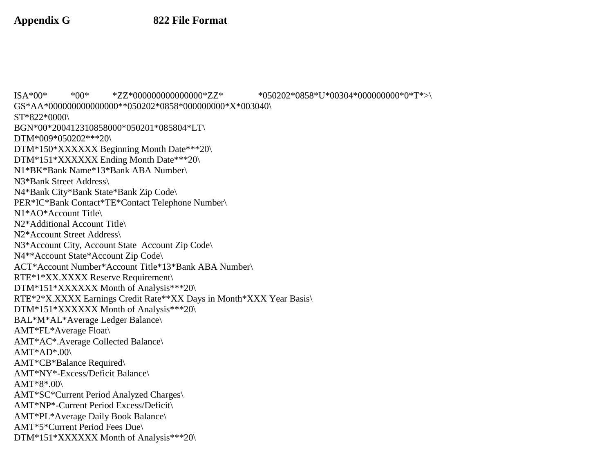ISA\*00\* \*00\* \*ZZ\*000000000000000\*ZZ\* \*050202\*0858\*U\*00304\*000000000\*0\*T\*>\ GS\*AA\*000000000000000\*\*050202\*0858\*000000000\*X\*003040\ ST\*822\*0000\ BGN\*00\*200412310858000\*050201\*085804\*LT\ DTM\*009\*050202\*\*\*20\ DTM\*150\*XXXXXX Beginning Month Date\*\*\*20\ DTM\*151\*XXXXXX Ending Month Date\*\*\*20\ N1\*BK\*Bank Name\*13\*Bank ABA Number\ N3\*Bank Street Address\ N4\*Bank City\*Bank State\*Bank Zip Code\ PER\*IC\*Bank Contact\*TE\*Contact Telephone Number\ N1\*AO\*Account Title\ N2\*Additional Account Title\ N2\*Account Street Address\ N3\*Account City, Account State Account Zip Code\ N4\*\*Account State\*Account Zip Code\ ACT\*Account Number\*Account Title\*13\*Bank ABA Number\ RTE\*1\*XX.XXXX Reserve Requirement\ DTM\*151\*XXXXXX Month of Analysis\*\*\*20\ RTE\*2\*X.XXXX Earnings Credit Rate\*\*XX Days in Month\*XXX Year Basis\ DTM\*151\*XXXXXX Month of Analysis\*\*\*20\ BAL\*M\*AL\*Average Ledger Balance\ AMT\*FL\*Average Float\ AMT\*AC\*.Average Collected Balance\  $AMT*AD*.00\$ AMT\*CB\*Balance Required\ AMT\*NY\*-Excess/Deficit Balance\ AMT\*8\*.00\ AMT\*SC\*Current Period Analyzed Charges\ AMT\*NP\*-Current Period Excess/Deficit\ AMT\*PL\*Average Daily Book Balance\ AMT\*5\*Current Period Fees Due\ DTM\*151\*XXXXXX Month of Analysis\*\*\*20\